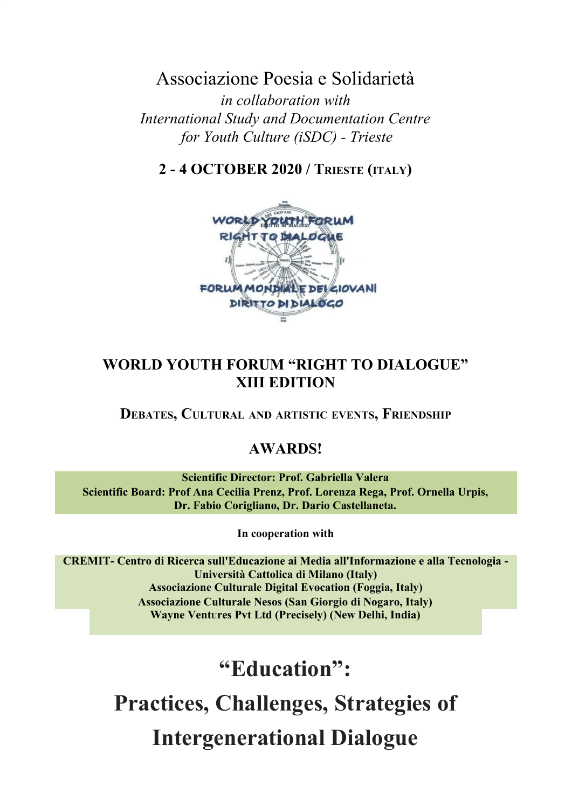Associazione Poesia e Solidarietà *in collaboration with International Study and Documentation Centre for Youth Culture (iSDC) - Trieste*

**2 - 4 OCTOBER 2020 / TRIESTE (ITALY)**



# **WORLD YOUTH FORUM "RIGHT TO DIALOGUE" XIII EDITION**

**DEBATES, CULTURAL AND ARTISTIC EVENTS, FRIENDSHIP**

# **AWARDS!**

**Scientific Director: Prof. Gabriella Valera Scientific Board: Prof Ana Cecilia Prenz, Prof. Lorenza Rega, Prof. Ornella Urpis, Dr. Fabio Corigliano, Dr. Dario Castellaneta.**

**In cooperation with**

**CREMIT- Centro di Ricerca sull'Educazione ai Media all'Informazione e alla Tecnologia - Università Cattolica di Milano (Italy) Associazione Culturale Digital Evocation (Foggia, Italy) Associazione Culturale Nesos (San Giorgio di Nogaro, Italy) Wayne VentUres Pvt Ltd (Precisely) (New Delhi, India)**

**"Education":**

# **Practices, Challenges, Strategies of Intergenerational Dialogue**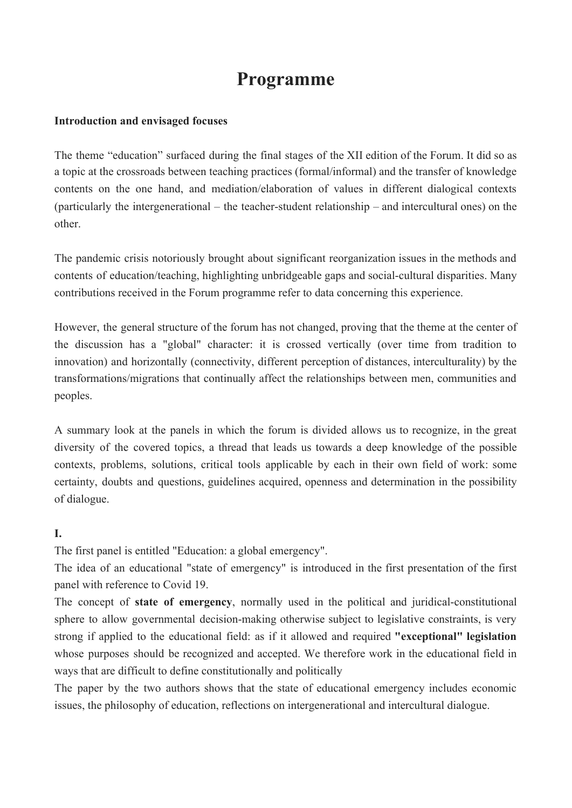# **Programme**

#### **Introduction and envisaged focuses**

The theme "education" surfaced during the final stages of the XII edition of the Forum. It did so as a topic at the crossroads between teaching practices (formal/informal) and the transfer of knowledge contents on the one hand, and mediation/elaboration of values in different dialogical contexts (particularly the intergenerational – the teacher-student relationship – and intercultural ones) on the other.

The pandemic crisis notoriously brought about significant reorganization issues in the methods and contents of education/teaching, highlighting unbridgeable gaps and social-cultural disparities. Many contributions received in the Forum programme refer to data concerning this experience.

However, the general structure of the forum has not changed, proving that the theme at the center of the discussion has a "global" character: it is crossed vertically (over time from tradition to innovation) and horizontally (connectivity, different perception of distances, interculturality) by the transformations/migrations that continually affect the relationships between men, communities and peoples.

A summary look at the panels in which the forum is divided allows us to recognize, in the great diversity of the covered topics, a thread that leads us towards a deep knowledge of the possible contexts, problems, solutions, critical tools applicable by each in their own field of work: some certainty, doubts and questions, guidelines acquired, openness and determination in the possibility of dialogue.

### **I.**

The first panel is entitled "Education: a global emergency".

The idea of an educational "state of emergency" is introduced in the first presentation of the first panel with reference to Covid 19.

The concept of **state of emergency**, normally used in the political and juridical-constitutional sphere to allow governmental decision-making otherwise subject to legislative constraints, is very strong if applied to the educational field: as if it allowed and required **"exceptional" legislation** whose purposes should be recognized and accepted. We therefore work in the educational field in ways that are difficult to define constitutionally and politically

The paper by the two authors shows that the state of educational emergency includes economic issues, the philosophy of education, reflections on intergenerational and intercultural dialogue.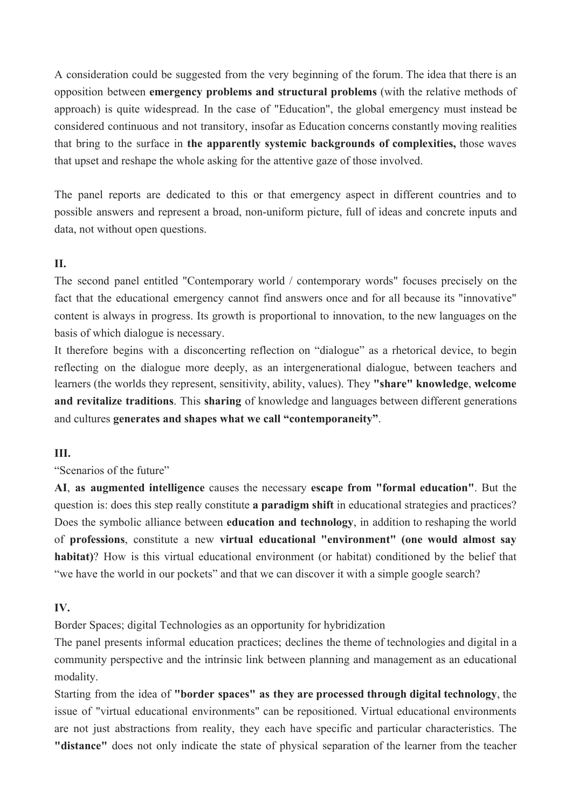A consideration could be suggested from the very beginning of the forum. The idea that there is an opposition between **emergency problems and structural problems** (with the relative methods of approach) is quite widespread. In the case of "Education", the global emergency must instead be considered continuous and not transitory, insofar as Education concerns constantly moving realities that bring to the surface in **the apparently systemic backgrounds of complexities,** those waves that upset and reshape the whole asking for the attentive gaze of those involved.

The panel reports are dedicated to this or that emergency aspect in different countries and to possible answers and represent a broad, non-uniform picture, full of ideas and concrete inputs and data, not without open questions.

#### **II.**

The second panel entitled "Contemporary world / contemporary words" focuses precisely on the fact that the educational emergency cannot find answers once and for all because its "innovative" content is always in progress. Its growth is proportional to innovation, to the new languages on the basis of which dialogue is necessary.

It therefore begins with a disconcerting reflection on "dialogue" as a rhetorical device, to begin reflecting on the dialogue more deeply, as an intergenerational dialogue, between teachers and learners (the worlds they represent, sensitivity, ability, values). They **"share" knowledge**, **welcome and revitalize traditions**. This **sharing** of knowledge and languages between different generations and cultures **generates and shapes what we call "contemporaneity"**.

#### **III.**

"Scenarios of the future"

**AI**, **as augmented intelligence** causes the necessary **escape from "formal education"**. But the question is: does this step really constitute **a paradigm shift** in educational strategies and practices? Does the symbolic alliance between **education and technology**, in addition to reshaping the world of **professions**, constitute a new **virtual educational "environment" (one would almost say habitat)**? How is this virtual educational environment (or habitat) conditioned by the belief that "we have the world in our pockets" and that we can discover it with a simple google search?

#### **IV.**

Border Spaces; digital Technologies as an opportunity for hybridization

The panel presents informal education practices; declines the theme of technologies and digital in a community perspective and the intrinsic link between planning and management as an educational modality.

Starting from the idea of **"border spaces" as they are processed through digital technology**, the issue of "virtual educational environments" can be repositioned. Virtual educational environments are not just abstractions from reality, they each have specific and particular characteristics. The **"distance"** does not only indicate the state of physical separation of the learner from the teacher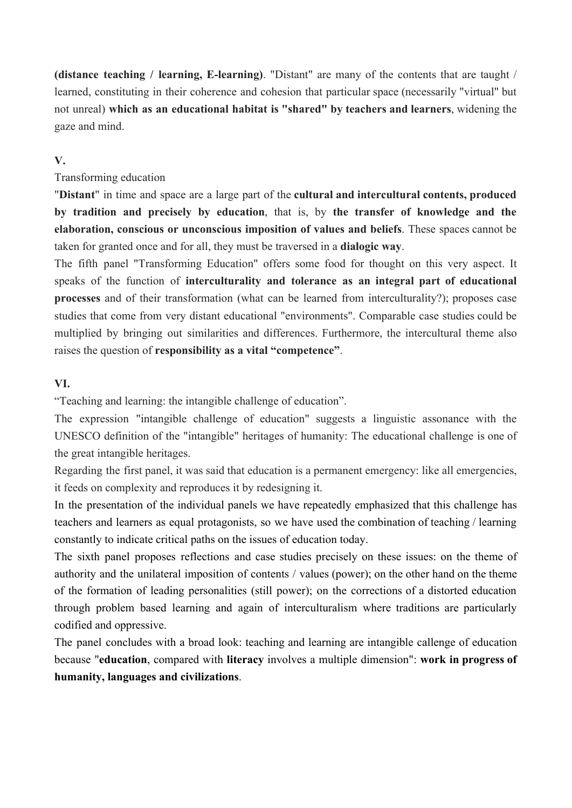**(distance teaching / learning, E-learning)**. "Distant" are many of the contents that are taught / learned, constituting in their coherence and cohesion that particular space (necessarily "virtual" but not unreal) **which as an educational habitat is "shared" by teachers and learners**, widening the gaze and mind.

#### **V.**

#### Transforming education

"**Distant**" in time and space are a large part of the **cultural and intercultural contents, produced by tradition and precisely by education**, that is, by **the transfer of knowledge and the elaboration, conscious or unconscious imposition of values and beliefs**. These spaces cannot be taken for granted once and for all, they must be traversed in a **dialogic way**.

The fifth panel "Transforming Education" offers some food for thought on this very aspect. It speaks of the function of **interculturality and tolerance as an integral part of educational processes** and of their transformation (what can be learned from interculturality?); proposes case studies that come from very distant educational "environments". Comparable case studies could be multiplied by bringing out similarities and differences. Furthermore, the intercultural theme also raises the question of **responsibility as a vital "competence"**.

#### **VI.**

"Teaching and learning: the intangible challenge of education".

The expression "intangible challenge of education" suggests a linguistic assonance with the UNESCO definition of the "intangible" heritages of humanity: The educational challenge is one of the great intangible heritages.

Regarding the first panel, it was said that education is a permanent emergency: like all emergencies, it feeds on complexity and reproduces it by redesigning it.

In the presentation of the individual panels we have repeatedly emphasized that this challenge has teachers and learners as equal protagonists, so we have used the combination of teaching / learning constantly to indicate critical paths on the issues of education today.

The sixth panel proposes reflections and case studies precisely on these issues: on the theme of authority and the unilateral imposition of contents / values (power); on the other hand on the theme of the formation of leading personalities (still power); on the corrections of a distorted education through problem based learning and again of interculturalism where traditions are particularly codified and oppressive.

The panel concludes with a broad look: teaching and learning are intangible callenge of education because "**education**, compared with **literacy** involves a multiple dimension": **work in progress of humanity, languages and civilizations**.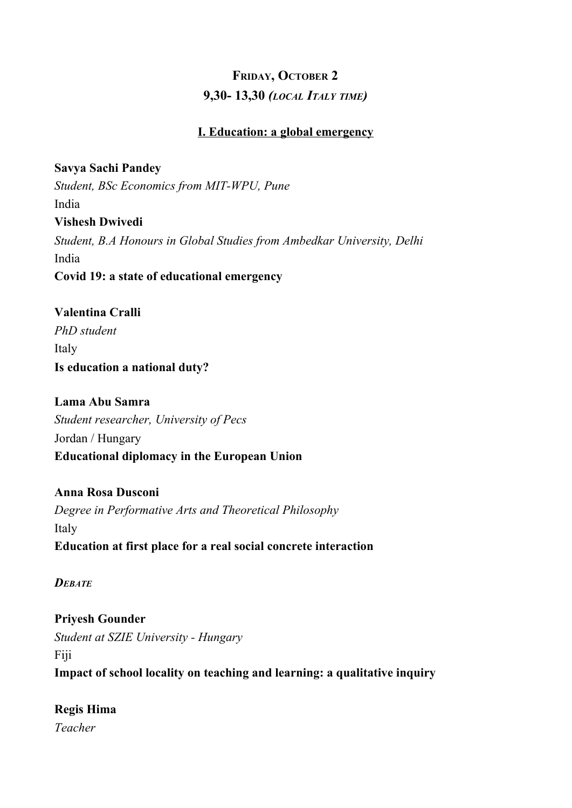# **FRIDAY, OCTOBER 2 9,30- 13,30** *(LOCAL ITALY TIME)*

#### **I. Education: a global emergency**

**Savya Sachi Pandey** *Student, BSc Economics from MIT-WPU, Pune* India **Vishesh Dwivedi** *Student, B.A Honours in Global Studies from Ambedkar University, Delhi* India **Covid 19: a state of educational emergency**

**Valentina Cralli** *PhD student* Italy **Is education a national duty?**

**Lama Abu Samra** *Student researcher, University of Pecs* Jordan / Hungary **Educational diplomacy in the European Union**

**Anna Rosa Dusconi** *Degree in Performative Arts and Theoretical Philosophy* Italy **Education at first place for a real social concrete interaction**

*DEBATE*

**Priyesh Gounder** *Student at SZIE University - Hungary* Fiji **Impact of school locality on teaching and learning: a qualitative inquiry**

**Regis Hima** *Teacher*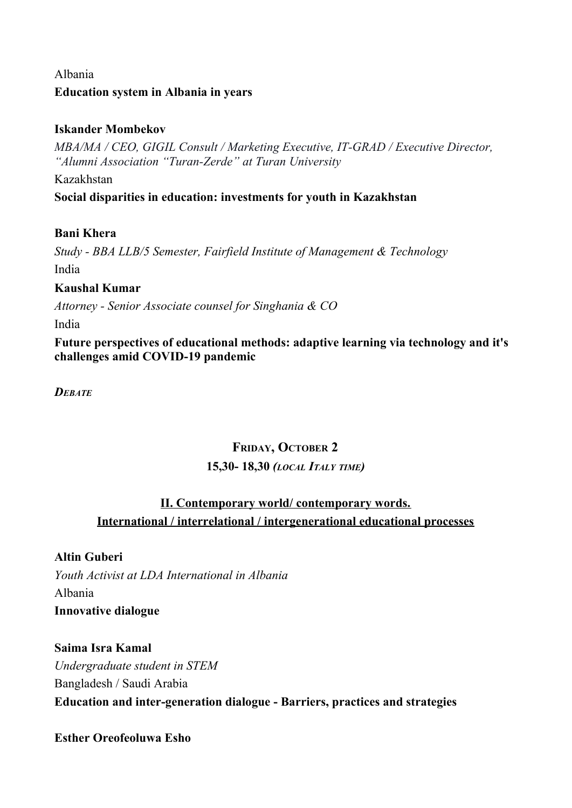## Albania **Education system in Albania in years**

## **Iskander Mombekov**

*MBA/MA / CEO, GIGIL Consult / Marketing Executive, IT-GRAD / Executive Director, "Alumni Association "Turan-Zerde" at Turan University*

Kazakhstan

**Social disparities in education: investments for youth in Kazakhstan**

## **Bani Khera**

*Study - BBA LLB/5 Semester, Fairfield Institute of Management & Technology* India

## **Kaushal Kumar**

*Attorney - Senior Associate counsel for Singhania & CO*

India

**Future perspectives of educational methods: adaptive learning via technology and it's challenges amid COVID-19 pandemic**

*DEBATE*

# **FRIDAY, OCTOBER 2 15,30- 18,30** *(LOCAL ITALY TIME)*

## **II. Contemporary world/ contemporary words. International / interrelational / intergenerational educational processes**

**Altin Guberi** *Youth Activist at LDA International in Albania* Albania **Innovative dialogue**

**Saima Isra Kamal** *Undergraduate student in STEM* Bangladesh / Saudi Arabia **Education and inter-generation dialogue - Barriers, practices and strategies**

**Esther Oreofeoluwa Esho**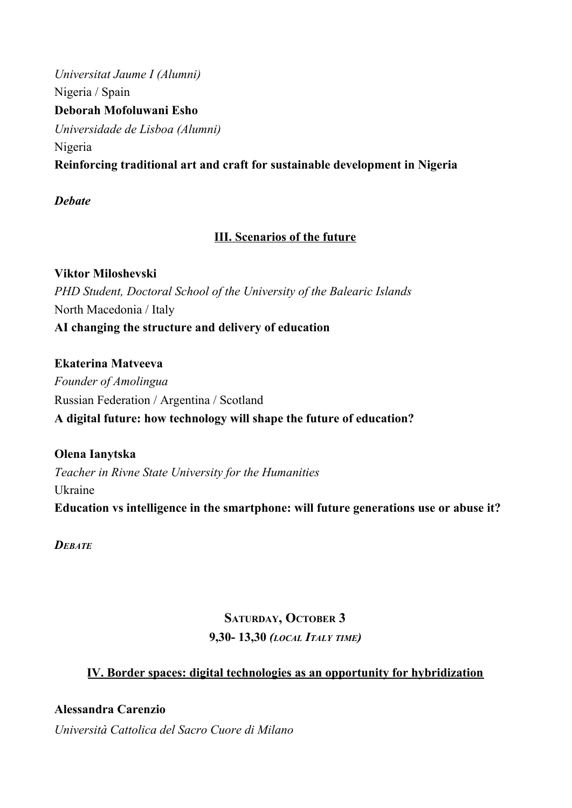*Universitat Jaume I (Alumni)* Nigeria / Spain **Deborah Mofoluwani Esho** *Universidade de Lisboa (Alumni)* Nigeria **Reinforcing traditional art and craft for sustainable development in Nigeria**

## *Debate*

## **III. Scenarios of the future**

**Viktor Miloshevski** *PHD Student, Doctoral School of the University of the Balearic Islands* North Macedonia / Italy **AI changing the structure and delivery of education**

**Ekaterina Matveeva** *Founder of Amolingua* Russian Federation / Argentina / Scotland **A digital future: how technology will shape the future of education?**

**Olena Ianytska** *Teacher in Rivne State University for the Humanities* Ukraine **Education vs intelligence in the smartphone: will future generations use or abuse it?**

*DEBATE*

# **SATURDAY, OCTOBER 3 9,30- 13,30** *(LOCAL ITALY TIME)*

## **IV. Border spaces: digital technologies as an opportunity for hybridization**

**Alessandra Carenzio** *Università Cattolica del Sacro Cuore di Milano*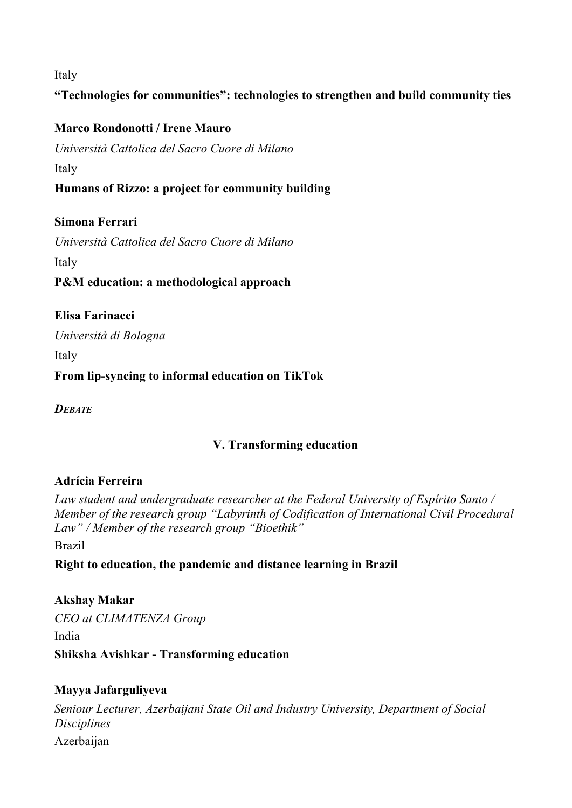Italy

## **"Technologies for communities": technologies to strengthen and build community ties**

#### **Marco Rondonotti / Irene Mauro**

*Università Cattolica del Sacro Cuore di Milano* Italy

**Humans of Rizzo: a project for community building**

### **Simona Ferrari**

*Università Cattolica del Sacro Cuore di Milano* Italy **P&M education: a methodological approach**

**Elisa Farinacci** *Università di Bologna* Italy **From lip-syncing to informal education on TikTok**

*DEBATE*

## **V. Transforming education**

### **Adrícia Ferreira**

*Law student and undergraduate researcher at the Federal University of Espírito Santo / Member of the research group "Labyrinth of Codification of International Civil Procedural Law" / Member of the research group "Bioethik"*

Brazil

## **Right to education, the pandemic and distance learning in Brazil**

**Akshay Makar** *CEO at CLIMATENZA Group* India **Shiksha Avishkar - Transforming education**

### **Mayya Jafarguliyeva**

*Seniour Lecturer, Azerbaijani State Oil and Industry University, Department of Social Disciplines* Azerbaijan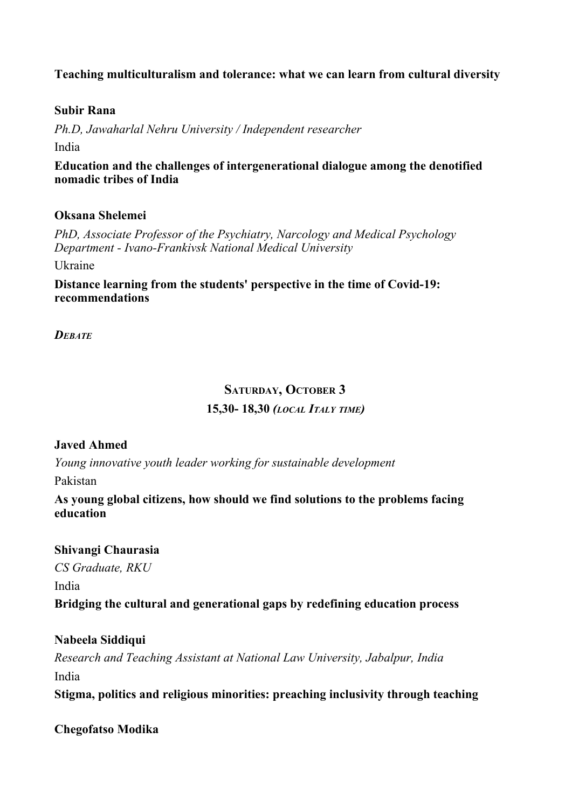#### **Teaching multiculturalism and tolerance: what we can learn from cultural diversity**

#### **Subir Rana**

*Ph.D, Jawaharlal Nehru University / Independent researcher* India

**Education and the challenges of intergenerational dialogue among the denotified nomadic tribes of India**

#### **Oksana Shelemei**

*PhD, Associate Professor of the Psychiatry, Narcology and Medical Psychology Department - Ivano-Frankivsk National Medical University*

Ukraine

**Distance learning from the students' perspective in the time of Covid-19: recommendations**

*DEBATE*

#### **SATURDAY, OCTOBER 3**

#### **15,30- 18,30** *(LOCAL ITALY TIME)*

#### **Javed Ahmed**

*Young innovative youth leader working for sustainable development*

Pakistan

**As young global citizens, how should we find solutions to the problems facing education**

#### **Shivangi Chaurasia**

*CS Graduate, RKU* India **Bridging the cultural and generational gaps by redefining education process**

#### **Nabeela Siddiqui**

*Research and Teaching Assistant at National Law University, Jabalpur, India* India

**Stigma, politics and religious minorities: preaching inclusivity through teaching**

**Chegofatso Modika**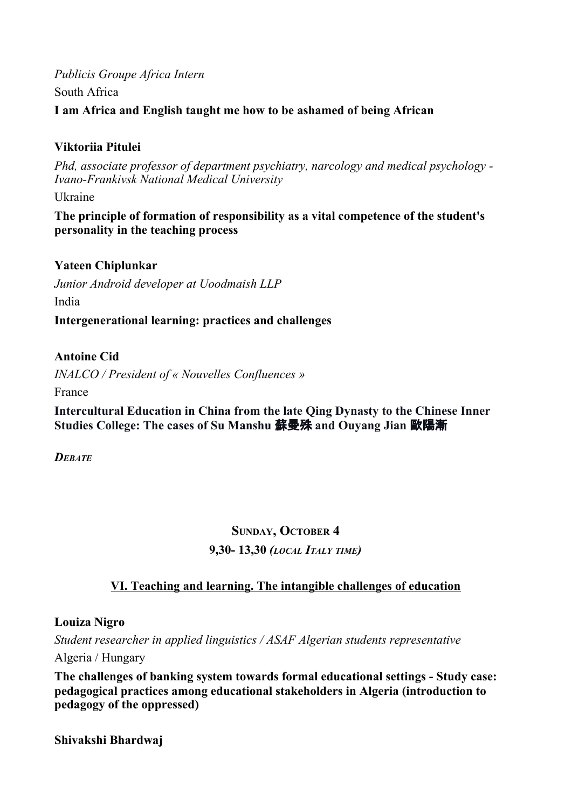## *Publicis Groupe Africa Intern* South Africa **I am Africa and English taught me how to be ashamed of being African**

## **Viktoriia Pitulei**

*Phd, associate professor of department psychiatry, narcology and medical psychology - Ivano-Frankivsk National Medical University*

Ukraine

**The principle of formation of responsibility as a vital competence of the student's personality in the teaching process**

## **Yateen Chiplunkar**

*Junior Android developer at Uoodmaish LLP* India

**Intergenerational learning: practices and challenges**

### **Antoine Cid**

*INALCO / President of « Nouvelles Confluences »*

France

**Intercultural Education in China from the late Qing Dynasty to the Chinese Inner Studies College: The cases of Su Manshu** 蘇曼殊 **and Ouyang Jian** 歐陽漸

*DEBATE*

# **SUNDAY, OCTOBER 4 9,30- 13,30** *(LOCAL ITALY TIME)*

## **VI. Teaching and learning. The intangible challenges of education**

**Louiza Nigro**

*Student researcher in applied linguistics / ASAF Algerian students representative*

Algeria / Hungary

**The challenges of banking system towards formal educational settings - Study case: pedagogical practices among educational stakeholders in Algeria (introduction to pedagogy of the oppressed)**

**Shivakshi Bhardwaj**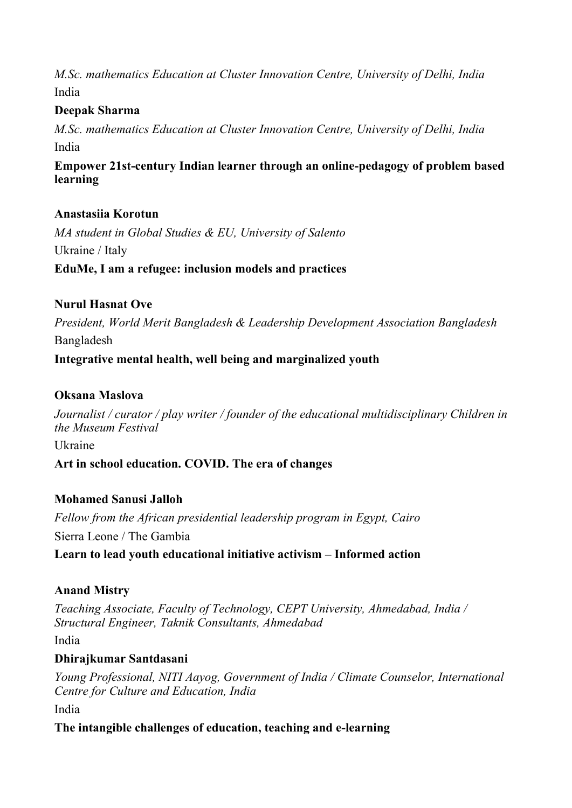*M.Sc. mathematics Education at Cluster Innovation Centre, University of Delhi, India* India

## **Deepak Sharma**

*M.Sc. mathematics Education at Cluster Innovation Centre, University of Delhi, India* India

**Empower 21st-century Indian learner through an online-pedagogy of problem based learning**

### **Anastasiia Korotun**

*MA student in Global Studies & EU, University of Salento* Ukraine / Italy **EduMe, I am a refugee: inclusion models and practices**

### **Nurul Hasnat Ove**

*President, World Merit Bangladesh & Leadership Development Association Bangladesh* Bangladesh

**Integrative mental health, well being and marginalized youth**

#### **Oksana Maslova**

*Journalist / curator / play writer / founder of the educational multidisciplinary Children in the Museum Festival*

Ukraine

**Art in school education. COVID. The era of changes**

### **Mohamed Sanusi Jalloh**

*Fellow from the African presidential leadership program in Egypt, Cairo* Sierra Leone / The Gambia **Learn to lead youth educational initiative activism – Informed action**

#### **Anand Mistry**

*Teaching Associate, Faculty of Technology, CEPT University, Ahmedabad, India / Structural Engineer, Taknik Consultants, Ahmedabad*

India

#### **Dhirajkumar Santdasani**

*Young Professional, NITI Aayog, Government of India / Climate Counselor, International Centre for Culture and Education, India*

India

**The intangible challenges of education, teaching and e-learning**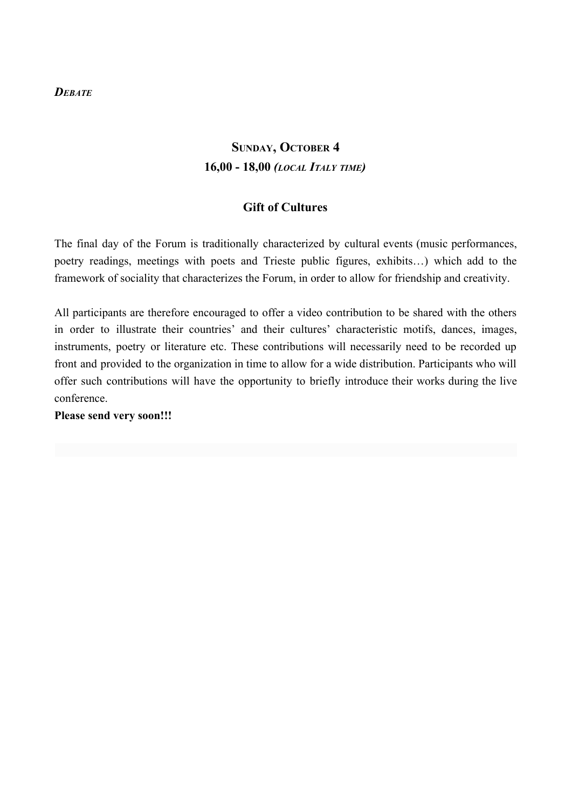#### *DEBATE*

# **SUNDAY, OCTOBER 4 16,00 - 18,00** *(LOCAL ITALY TIME)*

#### **Gift of Cultures**

The final day of the Forum is traditionally characterized by cultural events (music performances, poetry readings, meetings with poets and Trieste public figures, exhibits…) which add to the framework of sociality that characterizes the Forum, in order to allow for friendship and creativity.

All participants are therefore encouraged to offer a video contribution to be shared with the others in order to illustrate their countries' and their cultures' characteristic motifs, dances, images, instruments, poetry or literature etc. These contributions will necessarily need to be recorded up front and provided to the organization in time to allow for a wide distribution. Participants who will offer such contributions will have the opportunity to briefly introduce their works during the live conference.

**Please send very soon!!!**